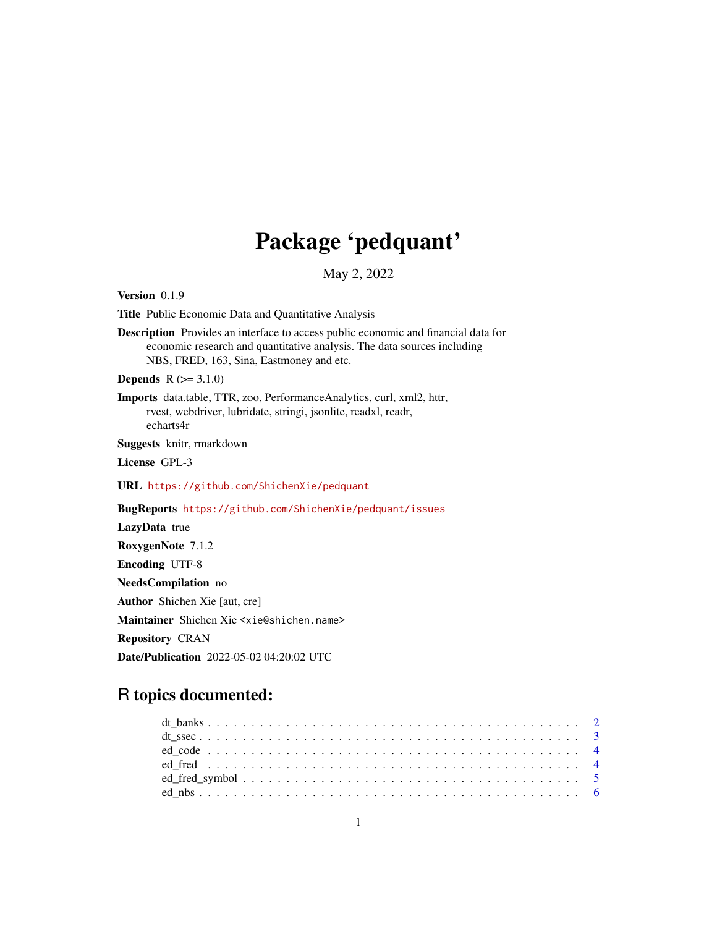# Package 'pedquant'

May 2, 2022

<span id="page-0-0"></span>Version 0.1.9

Title Public Economic Data and Quantitative Analysis

Description Provides an interface to access public economic and financial data for economic research and quantitative analysis. The data sources including NBS, FRED, 163, Sina, Eastmoney and etc.

**Depends**  $R (= 3.1.0)$ 

Imports data.table, TTR, zoo, PerformanceAnalytics, curl, xml2, httr, rvest, webdriver, lubridate, stringi, jsonlite, readxl, readr, echarts4r

Suggests knitr, rmarkdown

License GPL-3

URL <https://github.com/ShichenXie/pedquant>

BugReports <https://github.com/ShichenXie/pedquant/issues>

LazyData true RoxygenNote 7.1.2 Encoding UTF-8 NeedsCompilation no Author Shichen Xie [aut, cre] Maintainer Shichen Xie <xie@shichen.name> Repository CRAN Date/Publication 2022-05-02 04:20:02 UTC

# R topics documented: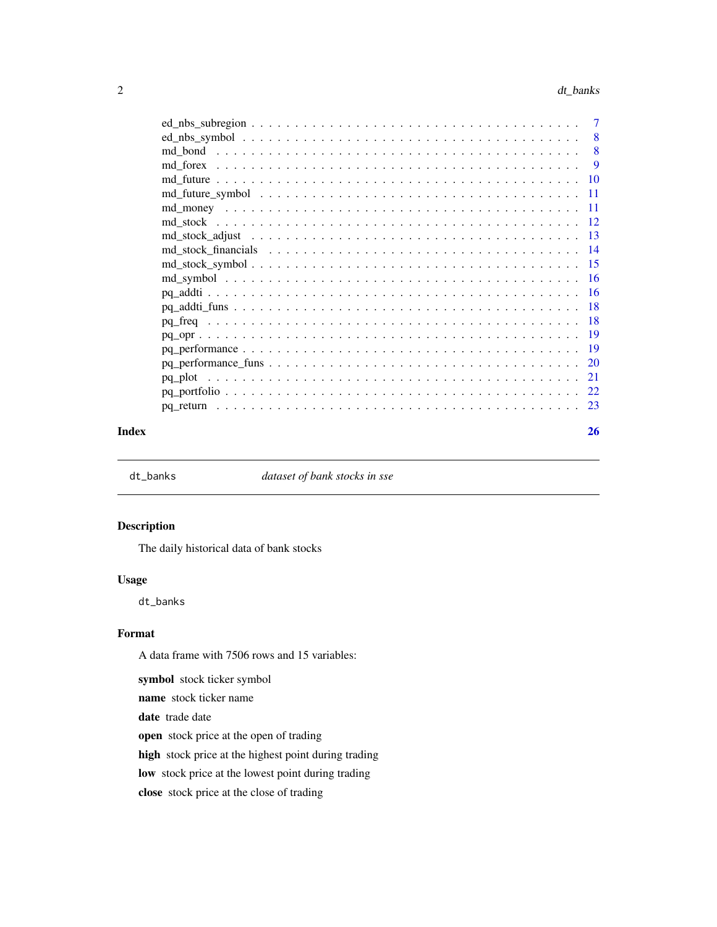<span id="page-1-0"></span>

| $\overline{7}$ |
|----------------|
| - 8            |
| 8              |
| 9              |
|                |
|                |
|                |
|                |
|                |
|                |
|                |
|                |
|                |
|                |
|                |
|                |
|                |
|                |
|                |
|                |
|                |
|                |

#### **Index** [26](#page-25-0)

dt\_banks *dataset of bank stocks in sse*

# Description

The daily historical data of bank stocks

# Usage

dt\_banks

# Format

A data frame with 7506 rows and 15 variables:

symbol stock ticker symbol

name stock ticker name

date trade date

open stock price at the open of trading

high stock price at the highest point during trading

low stock price at the lowest point during trading

close stock price at the close of trading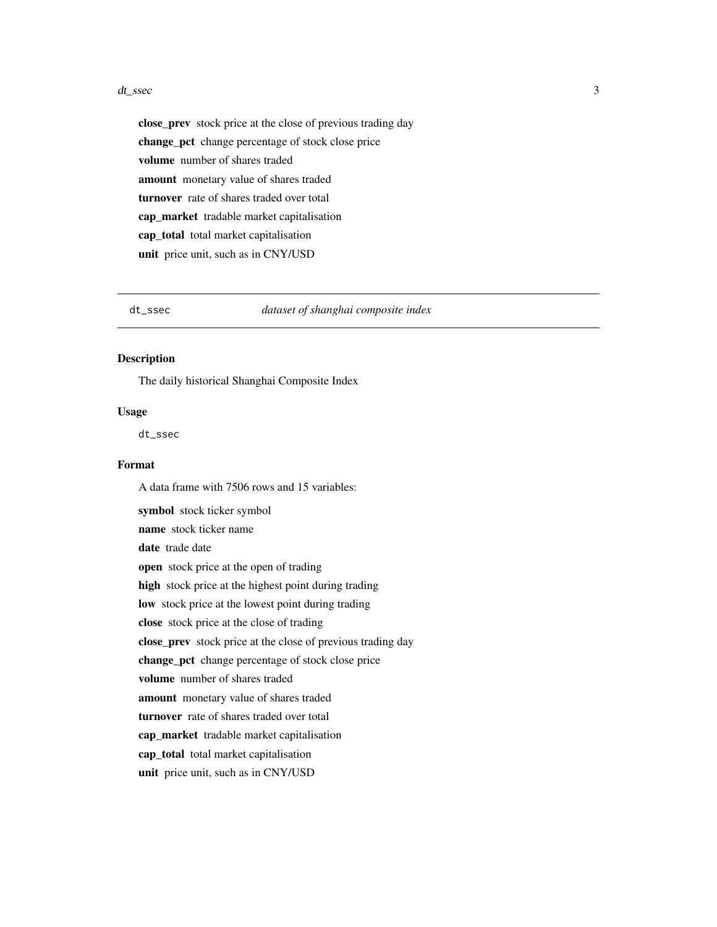#### <span id="page-2-0"></span>dt\_ssec 3

close\_prev stock price at the close of previous trading day change\_pct change percentage of stock close price volume number of shares traded amount monetary value of shares traded turnover rate of shares traded over total cap\_market\_tradable market capitalisation cap\_total total market capitalisation unit price unit, such as in CNY/USD

dt\_ssec *dataset of shanghai composite index*

### Description

The daily historical Shanghai Composite Index

# Usage

dt\_ssec

#### Format

A data frame with 7506 rows and 15 variables:

symbol stock ticker symbol name stock ticker name date trade date open stock price at the open of trading high stock price at the highest point during trading low stock price at the lowest point during trading close stock price at the close of trading close\_prev stock price at the close of previous trading day change\_pct change percentage of stock close price volume number of shares traded amount monetary value of shares traded turnover rate of shares traded over total cap\_market\_tradable market capitalisation cap\_total total market capitalisation unit price unit, such as in CNY/USD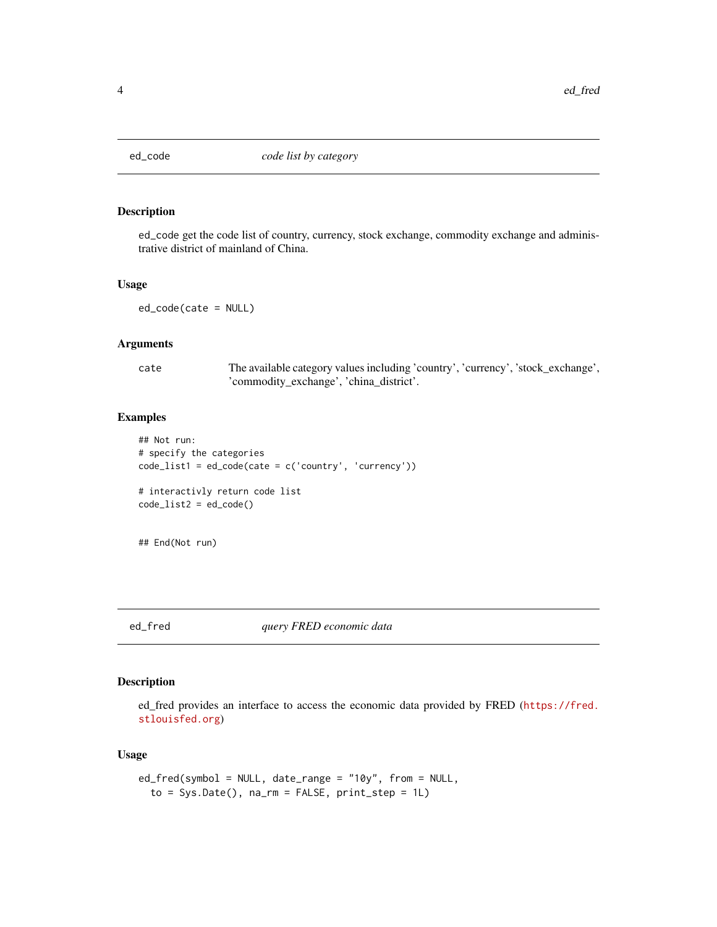<span id="page-3-0"></span>

# Description

ed\_code get the code list of country, currency, stock exchange, commodity exchange and administrative district of mainland of China.

#### Usage

ed\_code(cate = NULL)

# Arguments

cate The available category values including 'country', 'currency', 'stock\_exchange', 'commodity\_exchange', 'china\_district'.

# Examples

```
## Not run:
# specify the categories
code_list1 = ed\_code(cate = c('country', 'currency'))# interactivly return code list
code_list2 = ed\_code()
```
## End(Not run)

# ed\_fred *query FRED economic data*

# Description

ed\_fred provides an interface to access the economic data provided by FRED ([https://fred.](https://fred.stlouisfed.org) [stlouisfed.org](https://fred.stlouisfed.org))

# Usage

```
ed_fred(symbol = NULL, date_range = "10y", from = NULL,
  to = Sys.Date(), na_rm = FALSE, print\_step = 1L)
```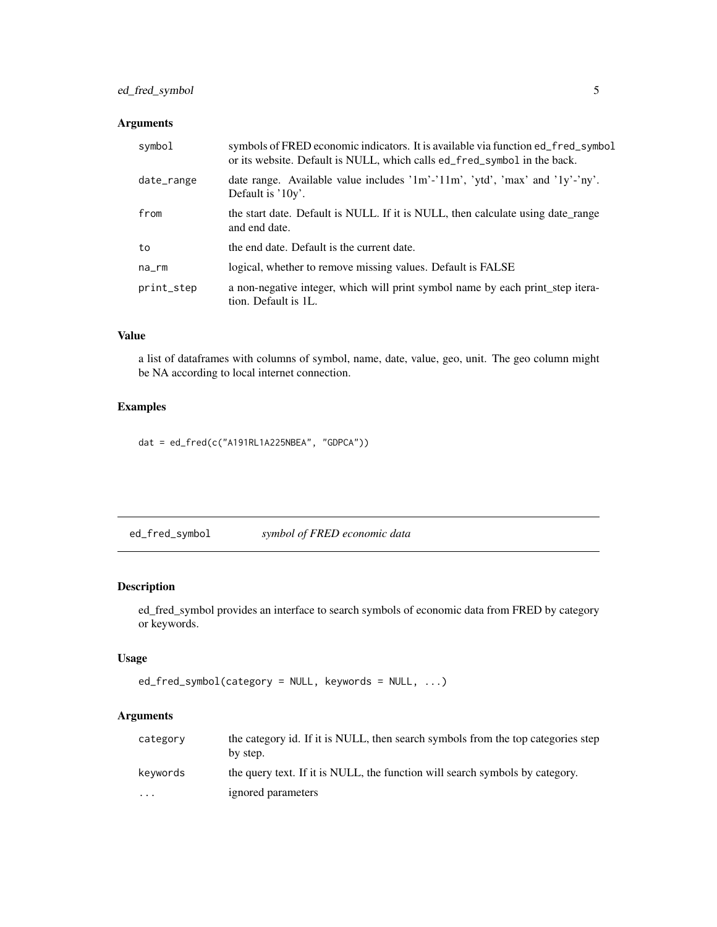# <span id="page-4-0"></span>ed\_fred\_symbol 5

# Arguments

| symbol     | symbols of FRED economic indicators. It is available via function ed_fred_symbol<br>or its website. Default is NULL, which calls ed_fred_symbol in the back. |
|------------|--------------------------------------------------------------------------------------------------------------------------------------------------------------|
| date_range | date range. Available value includes '1m'-'11m', 'ytd', 'max' and '1y'-'ny'.<br>Default is '10y'.                                                            |
| from       | the start date. Default is NULL. If it is NULL, then calculate using date_range<br>and end date.                                                             |
| to         | the end date. Default is the current date.                                                                                                                   |
| na_rm      | logical, whether to remove missing values. Default is FALSE                                                                                                  |
| print_step | a non-negative integer, which will print symbol name by each print step itera-<br>tion. Default is 1L.                                                       |

# Value

a list of dataframes with columns of symbol, name, date, value, geo, unit. The geo column might be NA according to local internet connection.

# Examples

dat = ed\_fred(c("A191RL1A225NBEA", "GDPCA"))

ed\_fred\_symbol *symbol of FRED economic data*

# Description

ed\_fred\_symbol provides an interface to search symbols of economic data from FRED by category or keywords.

# Usage

```
ed_fred_symbol(category = NULL, keywords = NULL, ...)
```

| category  | the category id. If it is NULL, then search symbols from the top categories step<br>by step. |
|-----------|----------------------------------------------------------------------------------------------|
| keywords  | the query text. If it is NULL, the function will search symbols by category.                 |
| $\ddotsc$ | ignored parameters                                                                           |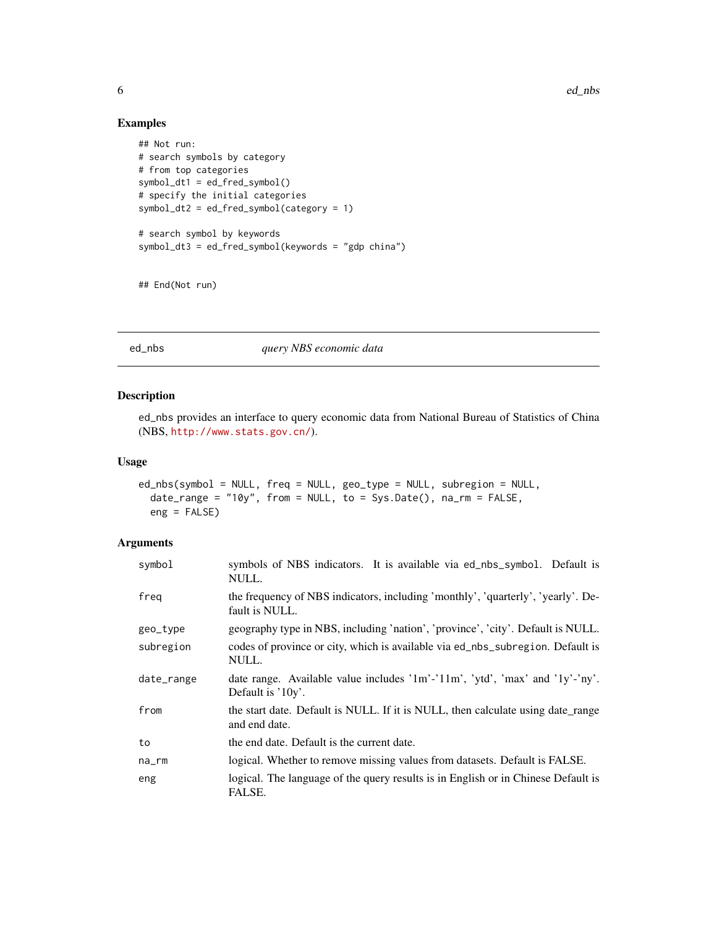6 ed\_nbs = ed\_nbs = ed\_nbs = ed\_nbs = ed\_nbs = ed\_nbs = ed\_nbs = ed\_nbs = ed\_nbs = ed\_nbs = ed\_nbs = ed\_nbs = ed\_nbs = ed\_nbs = ed\_nbs = ed\_nbs = ed\_nbs = ed\_nbs = ed\_nbs = ed\_nbs = ed\_nbs = ed\_nbs = ed\_nbs = ed\_nbs = ed\_n

# Examples

```
## Not run:
# search symbols by category
# from top categories
symbolC()# specify the initial categories
symbol_dt2 = ed_fred_symbol(category = 1)
# search symbol by keywords
symbol_dt3 = ed_fred_symbol(keywords = "gdp china")
```

```
## End(Not run)
```
ed\_nbs *query NBS economic data*

#### Description

ed\_nbs provides an interface to query economic data from National Bureau of Statistics of China (NBS, <http://www.stats.gov.cn/>).

# Usage

```
ed_nbs(symbol = NULL, freq = NULL, geo_type = NULL, subregion = NULL,
  date_range = "10y", from = NULL, to = Sys.Date(), na_rm = FALSE,
  eng = FALSE)
```

| symbol      | symbols of NBS indicators. It is available via ed_nbs_symbol. Default is<br>NULL.                   |
|-------------|-----------------------------------------------------------------------------------------------------|
| freg        | the frequency of NBS indicators, including 'monthly', 'quarterly', 'yearly'. De-<br>fault is NULL.  |
| geo_type    | geography type in NBS, including 'nation', 'province', 'city'. Default is NULL.                     |
| subregion   | codes of province or city, which is available via ed_nbs_subregion. Default is<br>NULL.             |
| date_range  | date range. Available value includes '1m'-'11m', 'ytd', 'max' and '1y'-'ny'.<br>Default is $'10y'.$ |
| from        | the start date. Default is NULL. If it is NULL, then calculate using date_range<br>and end date.    |
| to          | the end date. Default is the current date.                                                          |
| $na$ _ $rm$ | logical. Whether to remove missing values from datasets. Default is FALSE.                          |
| eng         | logical. The language of the query results is in English or in Chinese Default is<br>FALSE.         |

<span id="page-5-0"></span>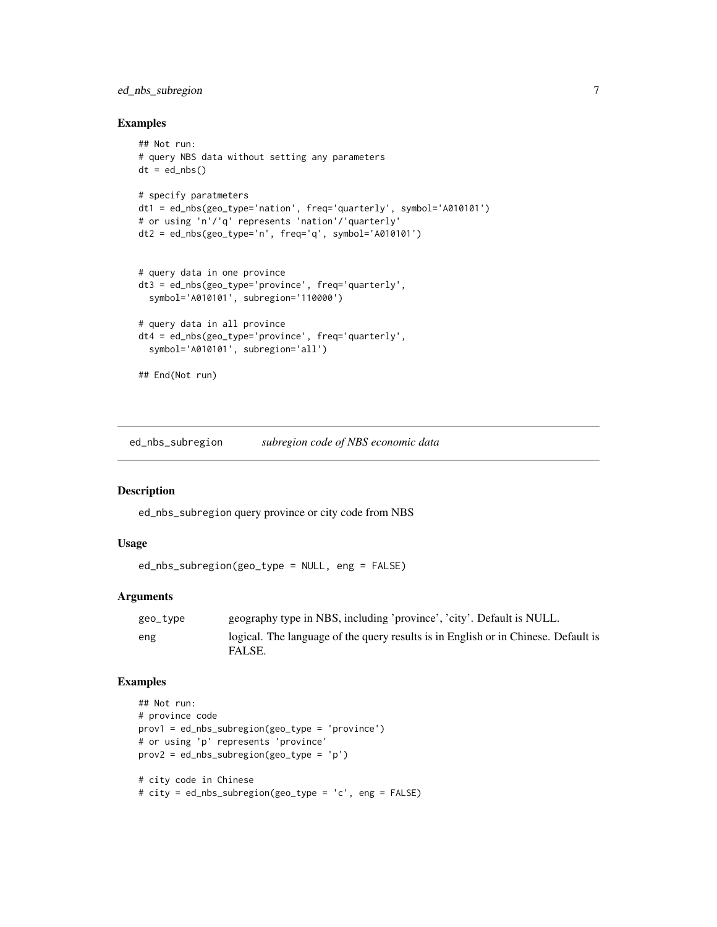# <span id="page-6-0"></span>ed\_nbs\_subregion 7

# Examples

```
## Not run:
# query NBS data without setting any parameters
dt = ed_nbs()# specify paratmeters
dt1 = ed_nbs(geo_type='nation', freq='quarterly', symbol='A010101')
# or using 'n'/'q' represents 'nation'/'quarterly'
dt2 = ed_nbs(geo_type='n', freq='q', symbol='A01010')# query data in one province
dt3 = ed_nbs(geo_type='province', freq='quarterly',
  symbol='A010101', subregion='110000')
# query data in all province
dt4 = ed_nbs(geo_type='province', freq='quarterly',
  symbol='A010101', subregion='all')
## End(Not run)
```
ed\_nbs\_subregion *subregion code of NBS economic data*

#### Description

ed\_nbs\_subregion query province or city code from NBS

# Usage

```
ed_nbs_subregion(geo_type = NULL, eng = FALSE)
```
### Arguments

| geo_type | geography type in NBS, including 'province', 'city'. Default is NULL.                        |
|----------|----------------------------------------------------------------------------------------------|
| eng      | logical. The language of the query results is in English or in Chinese. Default is<br>FALSE. |

# Examples

```
## Not run:
# province code
prov1 = ed_nbs_subregion(geo_type = 'province')
# or using 'p' represents 'province'
prov2 = ed_nbs_subregion(geo_type = 'p')
# city code in Chinese
# city = ed_nbs_subregion(geo_type = 'c', eng = FALSE)
```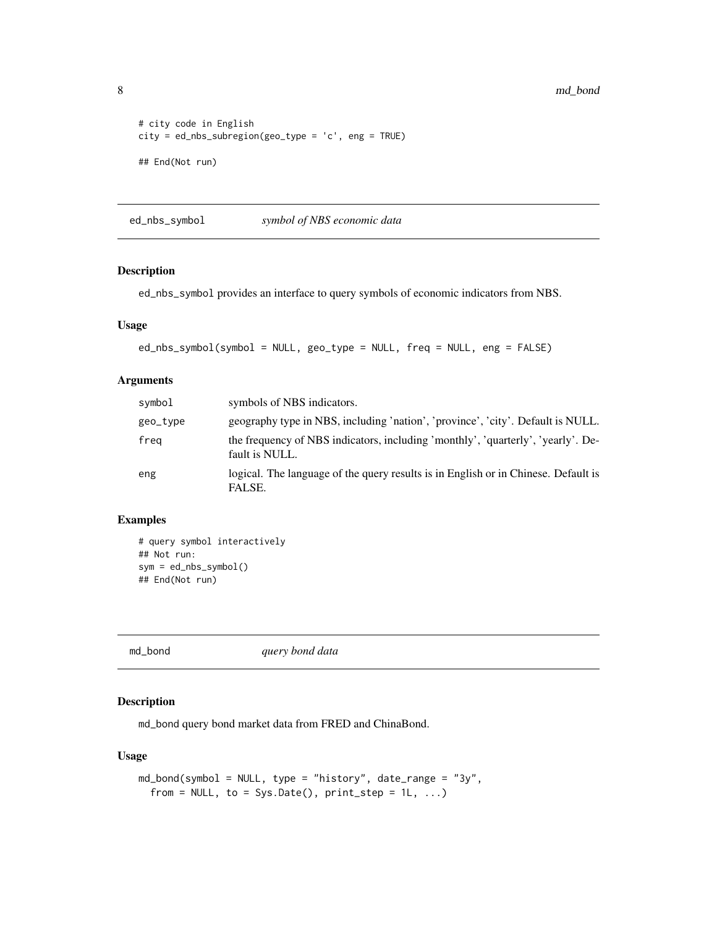```
# city code in English
city = ed_nbs_subregion(geo_type = 'c', eng = TRUE)
## End(Not run)
```
ed\_nbs\_symbol *symbol of NBS economic data*

# Description

ed\_nbs\_symbol provides an interface to query symbols of economic indicators from NBS.

# Usage

```
ed_nbs_symbol(symbol = NULL, geo_type = NULL, freq = NULL, eng = FALSE)
```
# Arguments

| symbol   | symbols of NBS indicators.                                                                         |
|----------|----------------------------------------------------------------------------------------------------|
| geo_type | geography type in NBS, including 'nation', 'province', 'city'. Default is NULL.                    |
| freg     | the frequency of NBS indicators, including 'monthly', 'quarterly', 'yearly'. De-<br>fault is NULL. |
| eng      | logical. The language of the query results is in English or in Chinese. Default is<br>FALSE.       |

#### Examples

```
# query symbol interactively
## Not run:
sym = ed_nbs_symbol()
## End(Not run)
```
md\_bond *query bond data*

# Description

md\_bond query bond market data from FRED and ChinaBond.

#### Usage

```
md_bond(symbol = NULL, type = "history", date_range = "3y",
  from = NULL, to = Sys.Date(), print\_step = 1L, ...)
```
<span id="page-7-0"></span>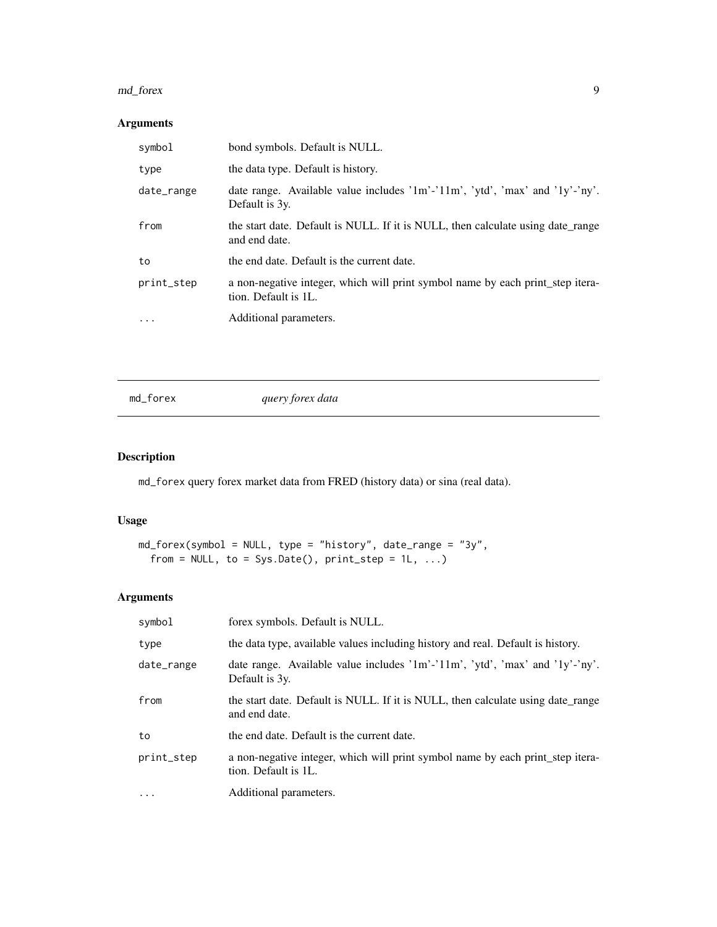#### <span id="page-8-0"></span>md\_forex 9

# Arguments

| symbol     | bond symbols. Default is NULL.                                                                         |
|------------|--------------------------------------------------------------------------------------------------------|
| type       | the data type. Default is history.                                                                     |
| date_range | date range. Available value includes '1m'-'11m', 'ytd', 'max' and '1y'-'ny'.<br>Default is 3y.         |
| from       | the start date. Default is NULL. If it is NULL, then calculate using date_range<br>and end date.       |
| to         | the end date. Default is the current date.                                                             |
| print_step | a non-negative integer, which will print symbol name by each print_step itera-<br>tion. Default is 1L. |
| $\ddots$ . | Additional parameters.                                                                                 |
|            |                                                                                                        |

md\_forex *query forex data*

# Description

md\_forex query forex market data from FRED (history data) or sina (real data).

# Usage

```
md_forex(symbol = NULL, type = "history", date_range = "3y",
  from = NULL, to = Sys.Date(), print\_step = 1L, ...)
```

| symbol     | forex symbols. Default is NULL.                                                                         |
|------------|---------------------------------------------------------------------------------------------------------|
| type       | the data type, available values including history and real. Default is history.                         |
| date_range | date range. Available value includes $1m^2$ - $11m^2$ , $ytd$ , $max$ and $1y'-ny'$ .<br>Default is 3y. |
| from       | the start date. Default is NULL. If it is NULL, then calculate using date range<br>and end date.        |
| to         | the end date. Default is the current date.                                                              |
| print_step | a non-negative integer, which will print symbol name by each print_step itera-<br>tion. Default is 1L.  |
| $\cdots$   | Additional parameters.                                                                                  |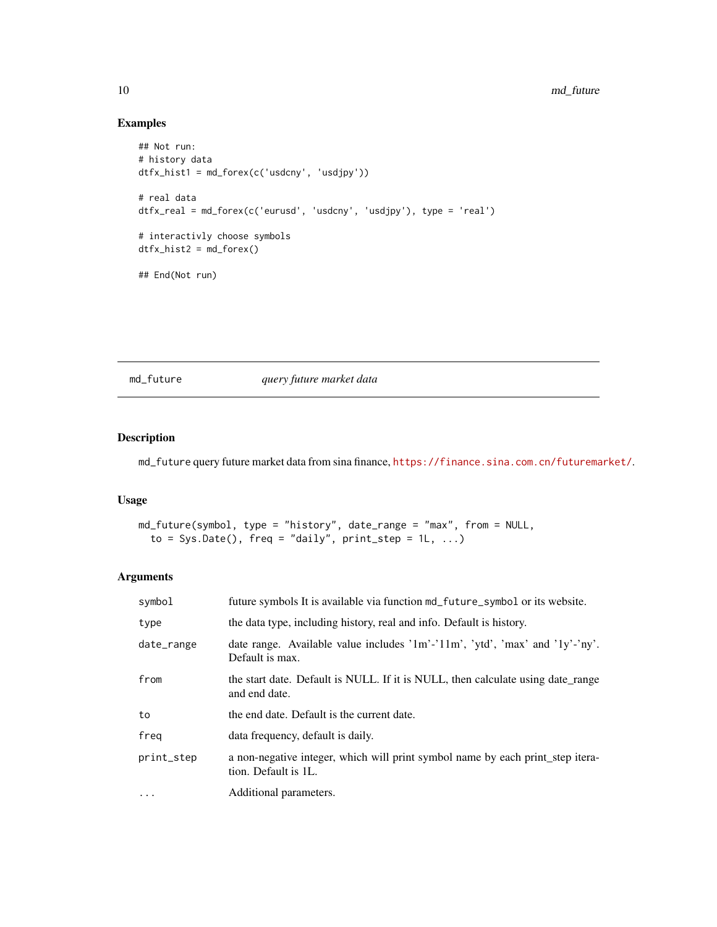# Examples

```
## Not run:
# history data
dtfx_hist1 = md_forex(c('usdcny', 'usdjpy'))
# real data
dtfx_real = md_forex(c('eurusd', 'usdcny', 'usdjpy'), type = 'real')
# interactivly choose symbols
dtfx\_hist2 = md_forex()## End(Not run)
```
md\_future *query future market data*

# Description

md\_future query future market data from sina finance, <https://finance.sina.com.cn/futuremarket/>.

#### Usage

```
md_future(symbol, type = "history", date_range = "max", from = NULL,
  to = Sys.Date(), freq = "daily", print_step = 1L, ...)
```

| symbol     | future symbols It is available via function md_future_symbol or its website.                           |
|------------|--------------------------------------------------------------------------------------------------------|
| type       | the data type, including history, real and info. Default is history.                                   |
| date_range | date range. Available value includes '1m'-'11m', 'ytd', 'max' and '1y'-'ny'.<br>Default is max.        |
| from       | the start date. Default is NULL. If it is NULL, then calculate using date range<br>and end date.       |
| to         | the end date. Default is the current date.                                                             |
| freg       | data frequency, default is daily.                                                                      |
| print_step | a non-negative integer, which will print symbol name by each print step itera-<br>tion. Default is 1L. |
| $\cdots$   | Additional parameters.                                                                                 |

<span id="page-9-0"></span>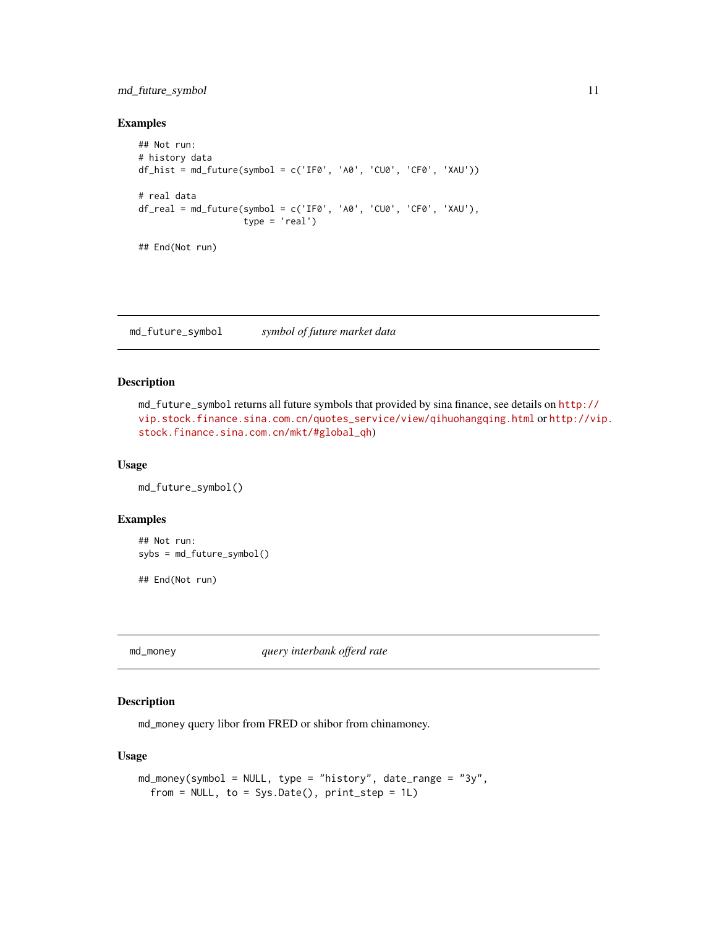# <span id="page-10-0"></span>md\_future\_symbol 11

#### Examples

```
## Not run:
# history data
df_hist = md_future(symbol = c('IF0', 'A0', 'CU0', 'CF0', 'XAU'))
# real data
df_real = md_future(symbol = c('IF0', 'A0', 'CU0', 'CF0', 'XAU'),
                    type = 'real')
## End(Not run)
```
md\_future\_symbol *symbol of future market data*

#### Description

md\_future\_symbol returns all future symbols that provided by sina finance, see details on [http://](http://vip.stock.finance.sina.com.cn/quotes_service/view/qihuohangqing.html) [vip.stock.finance.sina.com.cn/quotes\\_service/view/qihuohangqing.html](http://vip.stock.finance.sina.com.cn/quotes_service/view/qihuohangqing.html) or [http://vi](http://vip.stock.finance.sina.com.cn/mkt/#global_qh)p. [stock.finance.sina.com.cn/mkt/#global\\_qh](http://vip.stock.finance.sina.com.cn/mkt/#global_qh))

#### Usage

md\_future\_symbol()

#### Examples

```
## Not run:
sybs = md_future_symbol()
```
## End(Not run)

md\_money *query interbank offerd rate*

# Description

md\_money query libor from FRED or shibor from chinamoney.

#### Usage

```
md_money(symbol = NULL, type = "history", date_range = "3y",
  from = NULL, to = Sys.DataFrame(), print\_step = 1L)
```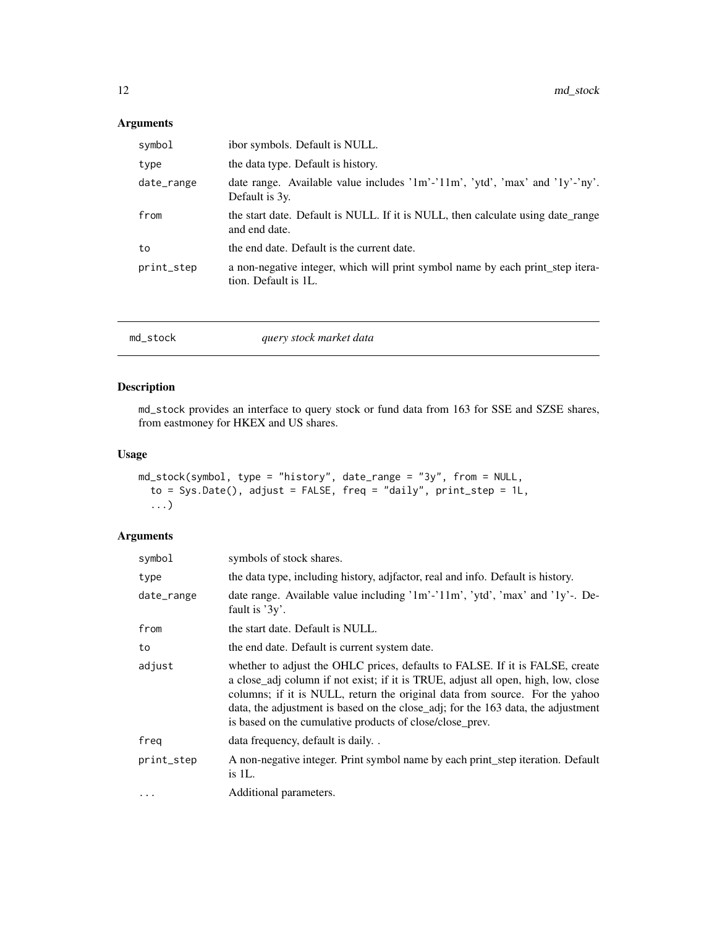# <span id="page-11-0"></span>Arguments

| symbol     | ibor symbols. Default is NULL.                                                                         |
|------------|--------------------------------------------------------------------------------------------------------|
| type       | the data type. Default is history.                                                                     |
| date_range | date range. Available value includes '1m'-'11m', 'ytd', 'max' and '1y'-'ny'.<br>Default is 3y.         |
| from       | the start date. Default is NULL. If it is NULL, then calculate using date range<br>and end date.       |
| to         | the end date. Default is the current date.                                                             |
| print_step | a non-negative integer, which will print symbol name by each print_step itera-<br>tion. Default is 1L. |

| query stock market data<br>md_stock |  |
|-------------------------------------|--|
|-------------------------------------|--|

# Description

md\_stock provides an interface to query stock or fund data from 163 for SSE and SZSE shares, from eastmoney for HKEX and US shares.

# Usage

```
md_stock(symbol, type = "history", date_range = "3y", from = NULL,
  to = Sys.Date(), adjust = FALSE, freq = "daily", print\_step = 1L,...)
```

| symbol     | symbols of stock shares.                                                                                                                                                                                                                                                                                                                                                                         |
|------------|--------------------------------------------------------------------------------------------------------------------------------------------------------------------------------------------------------------------------------------------------------------------------------------------------------------------------------------------------------------------------------------------------|
| type       | the data type, including history, adjusted and and info. Default is history.                                                                                                                                                                                                                                                                                                                     |
| date_range | date range. Available value including '1m'-'11m', 'ytd', 'max' and '1y'-. De-<br>fault is $3y$ .                                                                                                                                                                                                                                                                                                 |
| from       | the start date. Default is NULL.                                                                                                                                                                                                                                                                                                                                                                 |
| to         | the end date. Default is current system date.                                                                                                                                                                                                                                                                                                                                                    |
| adjust     | whether to adjust the OHLC prices, defaults to FALSE. If it is FALSE, create<br>a close_adj column if not exist; if it is TRUE, adjust all open, high, low, close<br>columns; if it is NULL, return the original data from source. For the yahoo<br>data, the adjustment is based on the close_adj; for the 163 data, the adjustment<br>is based on the cumulative products of close/close_prev. |
| freg       | data frequency, default is daily                                                                                                                                                                                                                                                                                                                                                                 |
| print_step | A non-negative integer. Print symbol name by each print_step iteration. Default<br>is $1L$ .                                                                                                                                                                                                                                                                                                     |
| $\ddotsc$  | Additional parameters.                                                                                                                                                                                                                                                                                                                                                                           |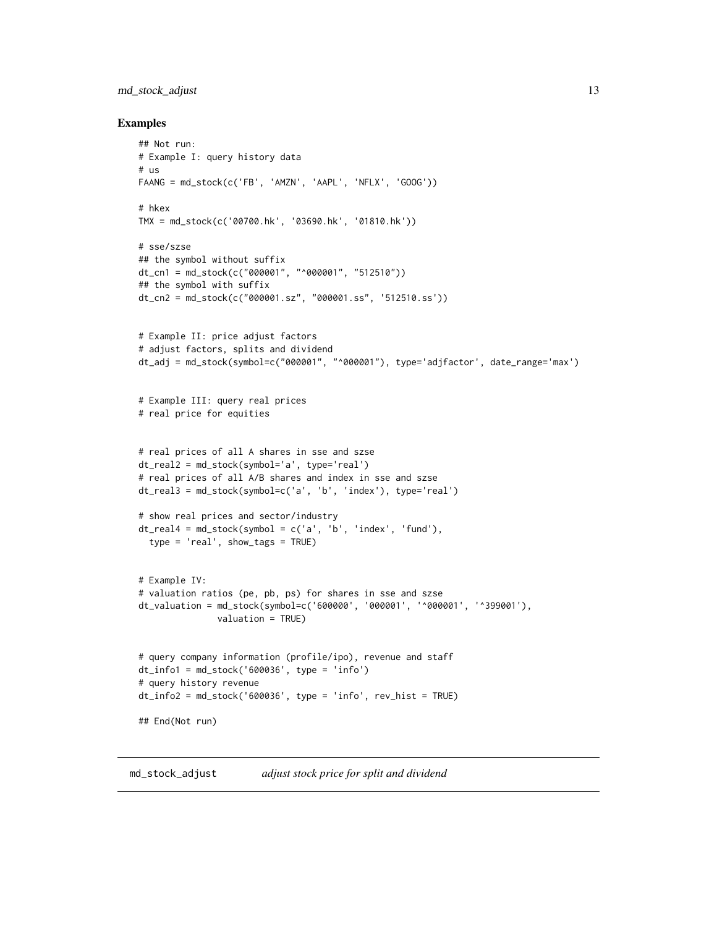# <span id="page-12-0"></span>md\_stock\_adjust 13

#### Examples

```
## Not run:
# Example I: query history data
# us
FAANG = md_stock(c('FB', 'AMZN', 'AAPL', 'NFLX', 'GOOG'))
# hkex
TMX = md_stock(c('00700.hk', '03690.hk', '01810.hk'))
# sse/szse
## the symbol without suffix
dt_cn1 = md_stock(c("000001", "^000001", "512510"))
## the symbol with suffix
dt_cn2 = md_stock(c("000001.sz", "000001.ss", '512510.ss'))
# Example II: price adjust factors
# adjust factors, splits and dividend
dt_adj = md_stock(symbol=c("000001", "^000001"), type='adjfactor', date_range='max')
# Example III: query real prices
# real price for equities
# real prices of all A shares in sse and szse
dt_real2 = md_stock(symbol='a', type='real')
# real prices of all A/B shares and index in sse and szse
dt_real3 = md_stock(symbol=c('a', 'b', 'index'), type='real')
# show real prices and sector/industry
dt_{\text{real4}} = \text{md}_{\text{stock}}(symbol = c('a', 'b', 'index', 'fund')),
  type = 'real', show_tags = TRUE)
# Example IV:
# valuation ratios (pe, pb, ps) for shares in sse and szse
dt_valuation = md_stock(symbol=c('600000', '000001', '^000001', '^399001'),
               valuation = TRUE)
# query company information (profile/ipo), revenue and staff
dt_info1 = md_stock('600036', type = 'info')
# query history revenue
dt_info2 = md_stock('600036', type = 'info', rev\_hist = TRUE)## End(Not run)
```
md\_stock\_adjust *adjust stock price for split and dividend*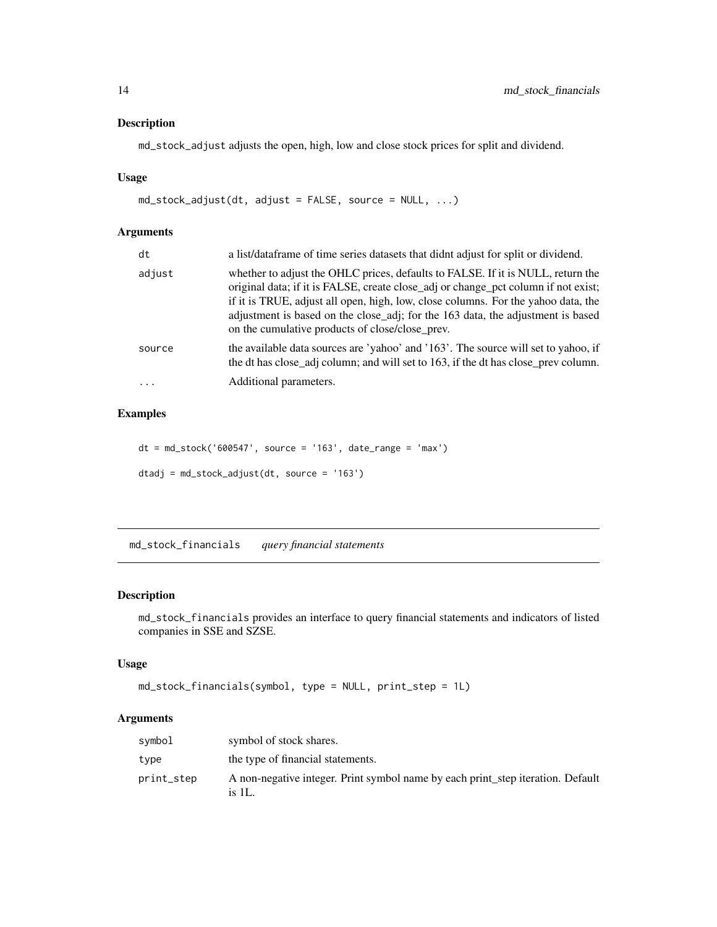#### <span id="page-13-0"></span>Description

md\_stock\_adjust adjusts the open, high, low and close stock prices for split and dividend.

# Usage

```
md_stock_adjust(dt, adjust = FALSE, source = NULL, ...)
```
# Arguments

| dt       | a list/dataframe of time series datasets that didnt adjust for split or dividend.                                                                                                                                                                                                                                                                                                                |
|----------|--------------------------------------------------------------------------------------------------------------------------------------------------------------------------------------------------------------------------------------------------------------------------------------------------------------------------------------------------------------------------------------------------|
| adjust   | whether to adjust the OHLC prices, defaults to FALSE. If it is NULL, return the<br>original data; if it is FALSE, create close_adj or change_pct column if not exist;<br>if it is TRUE, adjust all open, high, low, close columns. For the yahoo data, the<br>adjustment is based on the close_adj; for the 163 data, the adjustment is based<br>on the cumulative products of close/close_prev. |
| source   | the available data sources are 'yahoo' and '163'. The source will set to yahoo, if<br>the dt has close_adj column; and will set to 163, if the dt has close_prev column.                                                                                                                                                                                                                         |
| $\cdots$ | Additional parameters.                                                                                                                                                                                                                                                                                                                                                                           |

# Examples

```
dt = md_stock('600547', source = '163', date_range = 'max')
dtadj = md_stock_adjust(dt, source = '163')
```
md\_stock\_financials *query financial statements*

# Description

md\_stock\_financials provides an interface to query financial statements and indicators of listed companies in SSE and SZSE.

# Usage

```
md_stock_financials(symbol, type = NULL, print_step = 1L)
```

| symbol     | symbol of stock shares.                                                                   |
|------------|-------------------------------------------------------------------------------------------|
| type       | the type of financial statements.                                                         |
| print_step | A non-negative integer. Print symbol name by each print_step iteration. Default<br>is 1L. |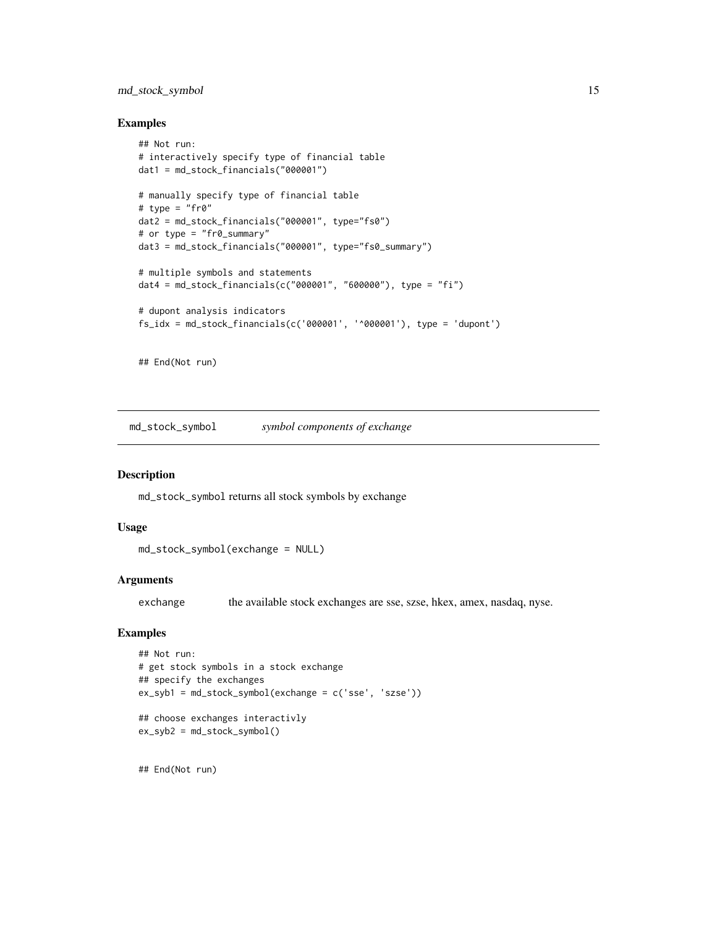# <span id="page-14-0"></span>md\_stock\_symbol 15

#### Examples

```
## Not run:
# interactively specify type of financial table
dat1 = md_stock_financials("000001")
# manually specify type of financial table
# type = "fr@"dat2 = md_stock_financials("000001", type="fs0")
# or type = "fr0_summary"
dat3 = md_stock_financials("000001", type="fs0_summary")
# multiple symbols and statements
dat4 = md_stock_financials(c("000001", "600000"), type = "fi")
# dupont analysis indicators
fs\_idx = md\_stock\_financials(c('000001', '0000001'), type = 'dupont')
```
## End(Not run)

md\_stock\_symbol *symbol components of exchange*

#### Description

md\_stock\_symbol returns all stock symbols by exchange

# Usage

```
md_stock_symbol(exchange = NULL)
```
#### Arguments

exchange the available stock exchanges are sse, szse, hkex, amex, nasdaq, nyse.

#### Examples

```
## Not run:
# get stock symbols in a stock exchange
## specify the exchanges
ex_syb1 = md_stock_symbol(exchange = c('sse', 'szse'))
## choose exchanges interactivly
ex_syb2 = md_stock_symbol()
```
## End(Not run)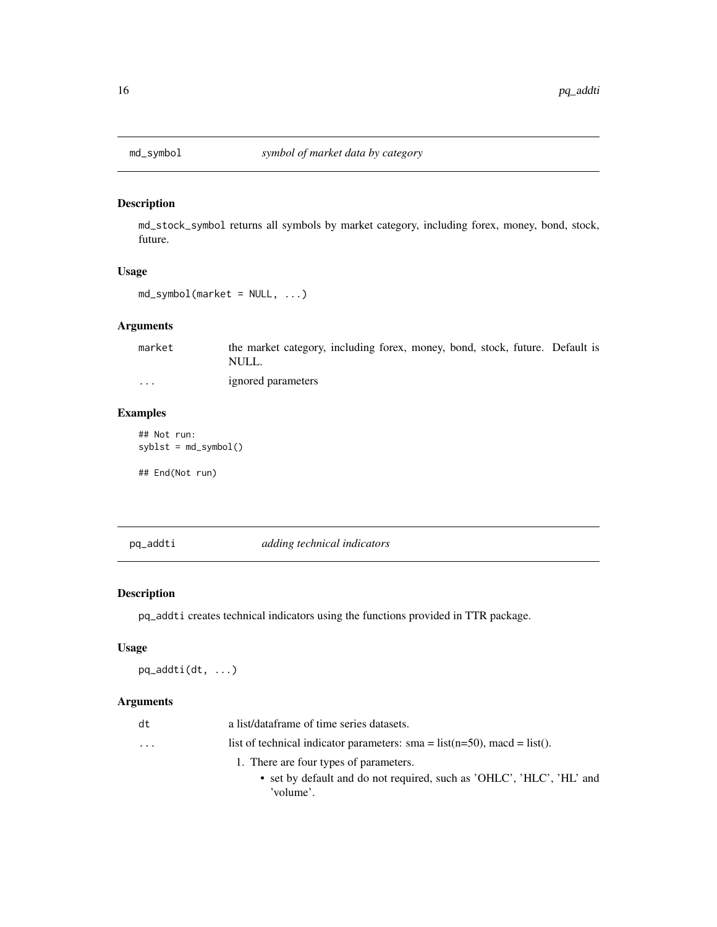<span id="page-15-0"></span>

# Description

md\_stock\_symbol returns all symbols by market category, including forex, money, bond, stock, future.

# Usage

md\_symbol(market = NULL, ...)

# Arguments

| market  | the market category, including forex, money, bond, stock, future. Default is |
|---------|------------------------------------------------------------------------------|
|         | NULL.                                                                        |
| $\cdot$ | ignored parameters                                                           |

# Examples

## Not run:  $sylv = md_symbol()$ 

## End(Not run)

pq\_addti *adding technical indicators*

# Description

pq\_addti creates technical indicators using the functions provided in TTR package.

#### Usage

pq\_addti(dt, ...)

| dt                      | a list/dataframe of time series datasets.                                      |
|-------------------------|--------------------------------------------------------------------------------|
| $\cdot$ $\cdot$ $\cdot$ | list of technical indicator parameters: sma = $list(n=50)$ , macd = $list()$ . |
|                         | 1. There are four types of parameters.                                         |
|                         | • set by default and do not required, such as 'OHLC', 'HLC', 'HL' and          |
|                         | 'volume'.                                                                      |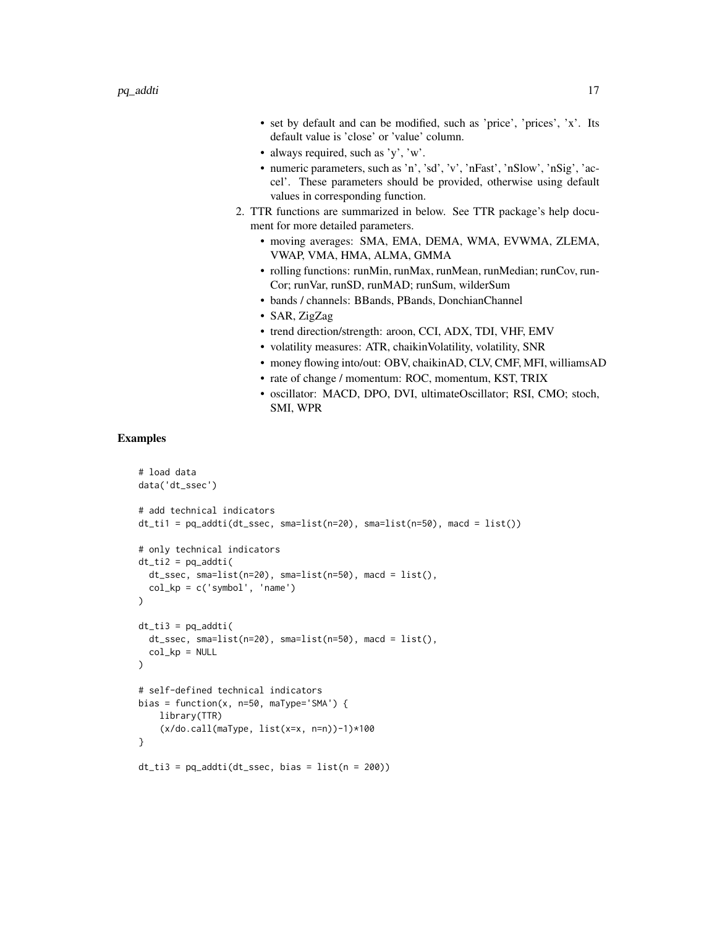- set by default and can be modified, such as 'price', 'prices', 'x'. Its default value is 'close' or 'value' column.
- always required, such as 'y', 'w'.
- numeric parameters, such as 'n', 'sd', 'v', 'nFast', 'nSlow', 'nSig', 'accel'. These parameters should be provided, otherwise using default values in corresponding function.
- 2. TTR functions are summarized in below. See TTR package's help document for more detailed parameters.
	- moving averages: SMA, EMA, DEMA, WMA, EVWMA, ZLEMA, VWAP, VMA, HMA, ALMA, GMMA
	- rolling functions: runMin, runMax, runMean, runMedian; runCov, run-Cor; runVar, runSD, runMAD; runSum, wilderSum
	- bands / channels: BBands, PBands, DonchianChannel
	- SAR, ZigZag
	- trend direction/strength: aroon, CCI, ADX, TDI, VHF, EMV
	- volatility measures: ATR, chaikinVolatility, volatility, SNR
	- money flowing into/out: OBV, chaikinAD, CLV, CMF, MFI, williamsAD
	- rate of change / momentum: ROC, momentum, KST, TRIX
	- oscillator: MACD, DPO, DVI, ultimateOscillator; RSI, CMO; stoch, SMI, WPR

#### Examples

```
# load data
data('dt_ssec')
# add technical indicators
dt_ti1 = pq_addti(dt_ssec, sma=list(n=20), sma=list(n=50), macd = list())
# only technical indicators
dt_t = pq_addti(
  dt_ssec, sma=list(n=20), sma=list(n=50), macd = list(),
  col_kp = c('symbol', 'name'))
dt_ti3 = pq_addti(
  dt_ssec, sma=list(n=20), sma=list(n=50), macd = list(),
  col_kp = NULL
)
# self-defined technical indicators
bias = function(x, n=50, maType='SMA') {
   library(TTR)
    (x/do.call(maType, list(x=x, n=n))-1)*100
}
dt_t = pq_addti(dt_ssec, bias = list(n = 200))
```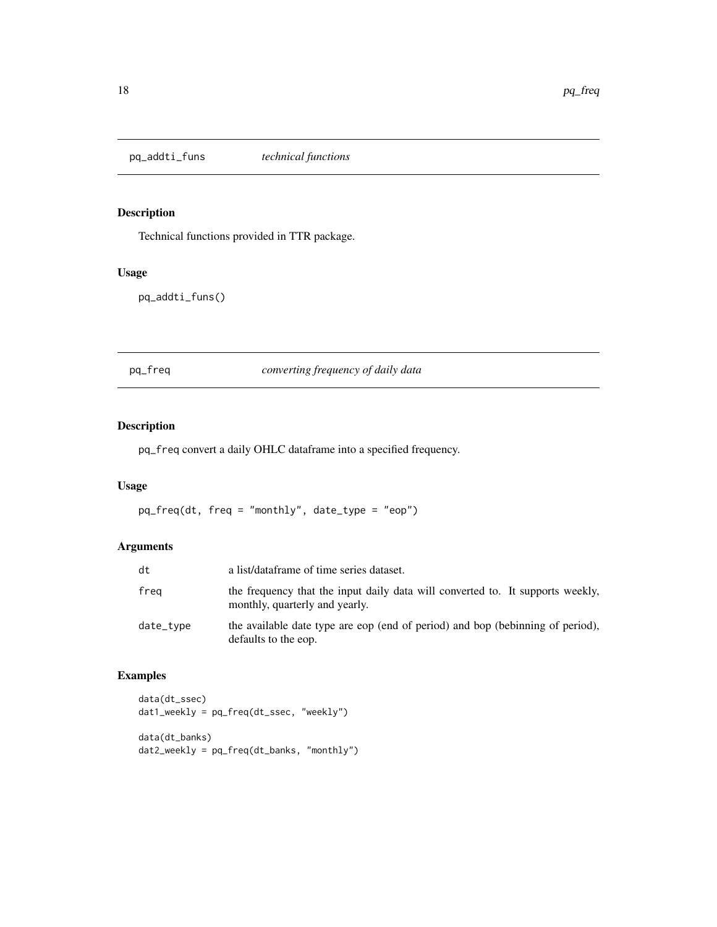<span id="page-17-0"></span>pq\_addti\_funs *technical functions*

# Description

Technical functions provided in TTR package.

### Usage

pq\_addti\_funs()

pq\_freq *converting frequency of daily data*

# Description

pq\_freq convert a daily OHLC dataframe into a specified frequency.

# Usage

pq\_freq(dt, freq = "monthly", date\_type = "eop")

# Arguments

| dt        | a list/dataframe of time series dataset.                                                                         |
|-----------|------------------------------------------------------------------------------------------------------------------|
| freg      | the frequency that the input daily data will converted to. It supports weekly,<br>monthly, quarterly and yearly. |
| date_tvpe | the available date type are eop (end of period) and bop (bebinning of period),<br>defaults to the eop.           |

# Examples

```
data(dt_ssec)
dat1_weekly = pq_freq(dt_ssec, "weekly")
data(dt_banks)
dat2_weekly = pq_freq(dt_banks, "monthly")
```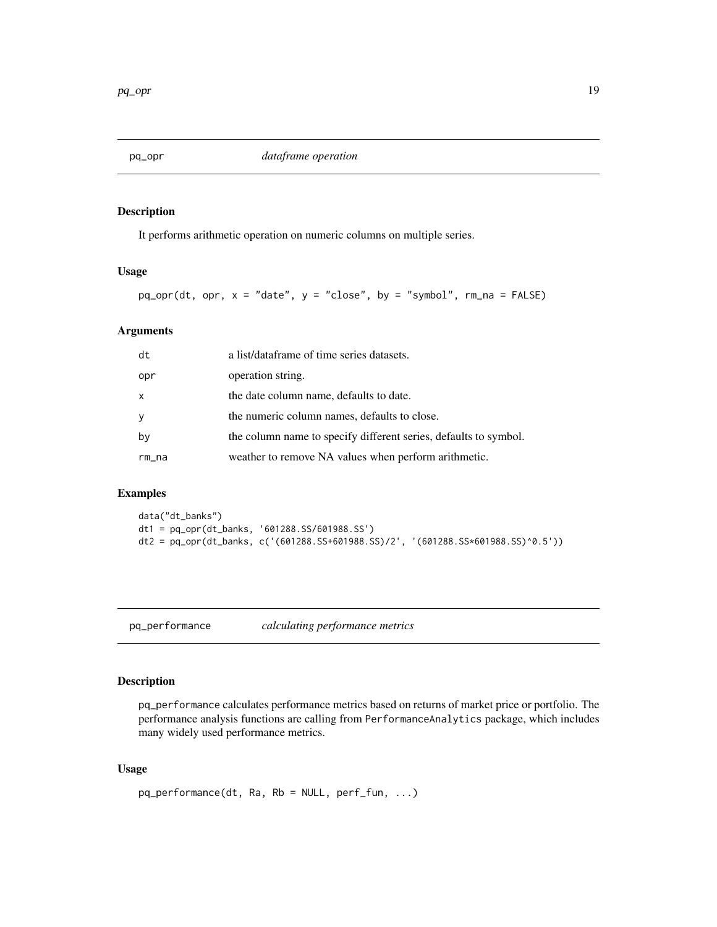<span id="page-18-0"></span>

# Description

It performs arithmetic operation on numeric columns on multiple series.

#### Usage

 $pq\_opr(dt, opr, x = "date", y = "close", by = "symbol", rm_and = FALSE)$ 

# Arguments

| dt           | a list/dataframe of time series datasets.                        |
|--------------|------------------------------------------------------------------|
| opr          | operation string.                                                |
| $\mathsf{x}$ | the date column name, defaults to date.                          |
| У            | the numeric column names, defaults to close.                     |
| by           | the column name to specify different series, defaults to symbol. |
| rm_na        | weather to remove NA values when perform arithmetic.             |

# Examples

```
data("dt_banks")
dt1 = pq_opr(dt_banks, '601288.SS/601988.SS')
dt2 = pq_opr(dt_banks, c('(601288.SS+601988.SS)/2', '(601288.SS*601988.SS)^0.5'))
```
pq\_performance *calculating performance metrics*

# Description

pq\_performance calculates performance metrics based on returns of market price or portfolio. The performance analysis functions are calling from PerformanceAnalytics package, which includes many widely used performance metrics.

# Usage

```
pq_performance(dt, Ra, Rb = NULL, perf_fun, ...)
```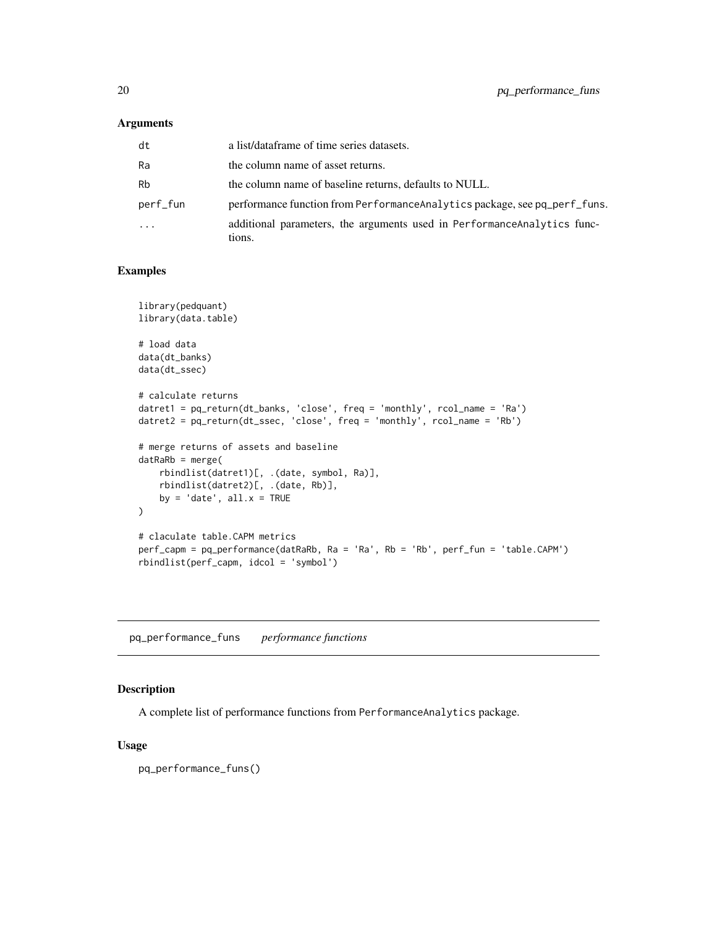# <span id="page-19-0"></span>Arguments

| dt                      | a list/dataframe of time series datasets.                                          |
|-------------------------|------------------------------------------------------------------------------------|
| Ra                      | the column name of asset returns.                                                  |
| <b>Rb</b>               | the column name of baseline returns, defaults to NULL.                             |
| perf_fun                | performance function from Performance Analytics package, see pq_perf_funs.         |
| $\cdot$ $\cdot$ $\cdot$ | additional parameters, the arguments used in Performance Analytics func-<br>tions. |

# Examples

```
library(pedquant)
library(data.table)
# load data
data(dt_banks)
data(dt_ssec)
# calculate returns
datret1 = pq_return(dt_banks, 'close', freq = 'monthly', rcol_name = 'Ra')
datret2 = pq_return(dt_ssec, 'close', freq = 'monthly', rcol_name = 'Rb')
# merge returns of assets and baseline
datRaRb = merge(
   rbindlist(datret1)[, .(date, symbol, Ra)],
   rbindlist(datret2)[, .(date, Rb)],
   by = 'date', all.x = TRUE\lambda# claculate table.CAPM metrics
perf_capm = pq_performance(datRaRb, Ra = 'Ra', Rb = 'Rb', perf_fun = 'table.CAPM')
rbindlist(perf_capm, idcol = 'symbol')
```
pq\_performance\_funs *performance functions*

# Description

A complete list of performance functions from PerformanceAnalytics package.

#### Usage

pq\_performance\_funs()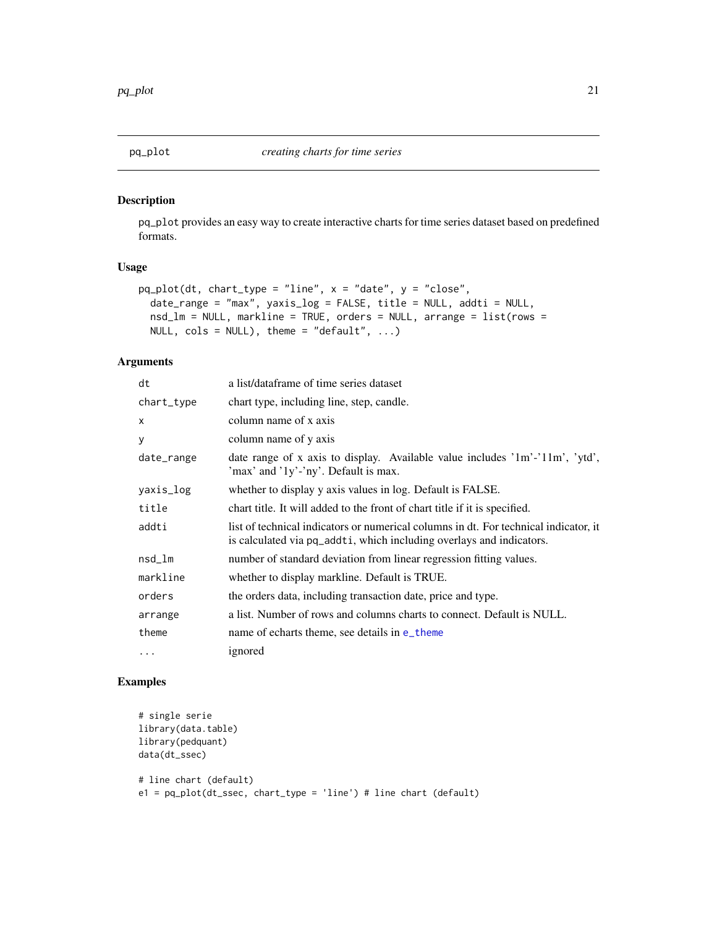<span id="page-20-0"></span>

# Description

pq\_plot provides an easy way to create interactive charts for time series dataset based on predefined formats.

# Usage

```
pq\_plot(dt, chart\_type = "line", x = "date", y = "close",date_range = "max", yaxis_log = FALSE, title = NULL, addti = NULL,
  nsd_l = NULL, markline = TRUE, orders = NULL, arrange = list(rows =
 NULL, \text{cols} = \text{NULL}, theme = "default", ...)
```
# Arguments

| a list/dataframe of time series dataset                                                                                                                      |
|--------------------------------------------------------------------------------------------------------------------------------------------------------------|
| chart type, including line, step, candle.                                                                                                                    |
| column name of x axis                                                                                                                                        |
| column name of y axis                                                                                                                                        |
| date range of x axis to display. Available value includes $1m^2$ - $11m^2$ , $ytd$ ,<br>'max' and '1y'-'ny'. Default is max.                                 |
| whether to display y axis values in log. Default is FALSE.                                                                                                   |
| chart title. It will added to the front of chart title if it is specified.                                                                                   |
| list of technical indicators or numerical columns in dt. For technical indicator, it<br>is calculated via pq_addti, which including overlays and indicators. |
| number of standard deviation from linear regression fitting values.                                                                                          |
| whether to display markline. Default is TRUE.                                                                                                                |
| the orders data, including transaction date, price and type.                                                                                                 |
| a list. Number of rows and columns charts to connect. Default is NULL.                                                                                       |
| name of echarts theme, see details in e_theme                                                                                                                |
| ignored                                                                                                                                                      |
|                                                                                                                                                              |

# Examples

```
# single serie
library(data.table)
library(pedquant)
data(dt_ssec)
# line chart (default)
e1 = pq_plot(dt_ssec, chart_type = 'line') # line chart (default)
```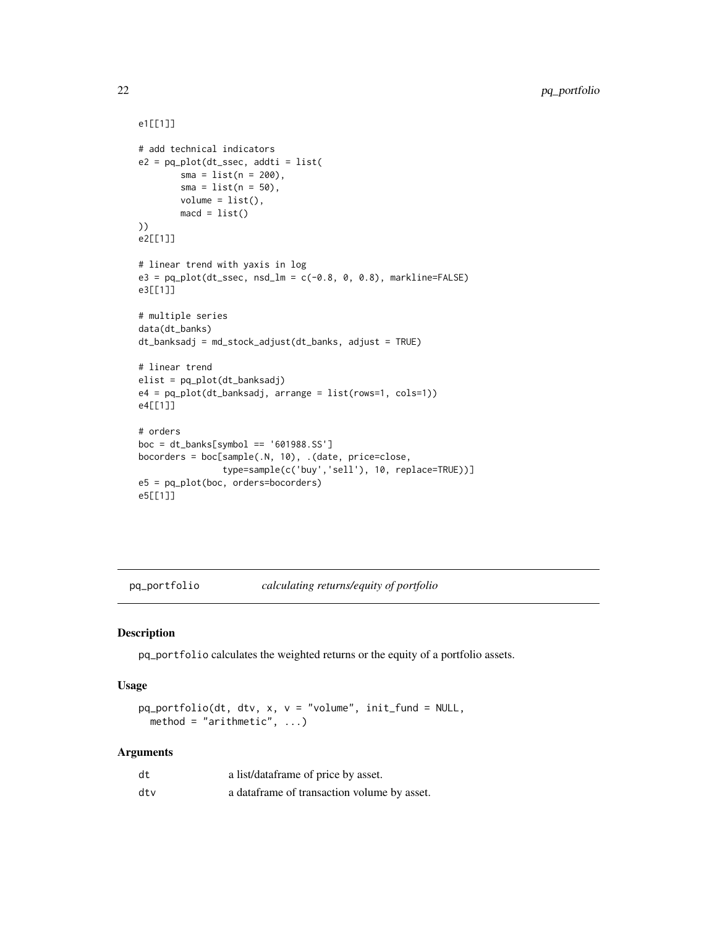```
e1[[1]]
# add technical indicators
e2 = pq\_plot(dt\_ssec, addti = list(sma = list(n = 200),
        sma = list(n = 50),
        volume = list(),
        macd = list()))
e2[[1]]
# linear trend with yaxis in log
e3 = pq_{pl}ot(dt_{S}sec, nsd_{lm} = c(-0.8, 0, 0.8), markline=FALSE)e3[[1]]
# multiple series
data(dt_banks)
dt_banksadj = md_stock_adjust(dt_banks, adjust = TRUE)
# linear trend
elist = pq_plot(dt_banksadj)
e4 = pq_plot(dt_banksadj, arrange = list(rows=1, cols=1))
e4[[1]]
# orders
boc = dt_banks[symbol == '601988.SS']
bocorders = boc[sample(.N, 10), .(date, price=close,
                type=sample(c('buy','sell'), 10, replace=TRUE))]
e5 = pq_plot(boc, orders=bocorders)
e5[[1]]
```
pq\_portfolio *calculating returns/equity of portfolio*

#### Description

pq\_portfolio calculates the weighted returns or the equity of a portfolio assets.

#### Usage

```
pq_portfolio(dt, dtv, x, v = "volume", init_fund = NULL,
 method = "arithmetic", ...)
```

| dt  | a list/dataframe of price by asset.          |
|-----|----------------------------------------------|
| dtv | a data frame of transaction volume by asset. |

<span id="page-21-0"></span>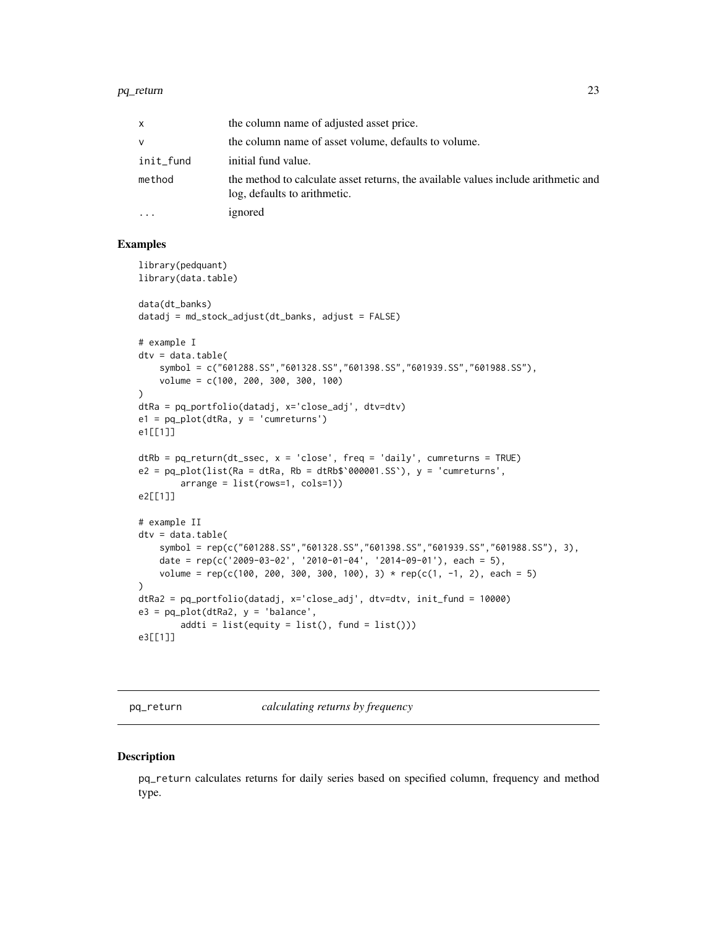#### <span id="page-22-0"></span>pq\_return 23

| x         | the column name of adjusted asset price.                                                                           |
|-----------|--------------------------------------------------------------------------------------------------------------------|
| v         | the column name of asset volume, defaults to volume.                                                               |
| init_fund | initial fund value.                                                                                                |
| method    | the method to calculate asset returns, the available values include arithmetic and<br>log, defaults to arithmetic. |
| .         | ignored                                                                                                            |

# Examples

```
library(pedquant)
library(data.table)
data(dt_banks)
datadj = md_stock_adjust(dt_banks, adjust = FALSE)
# example I
dtv = data.title(symbol = c("601288.SS","601328.SS","601398.SS","601939.SS","601988.SS"),
    volume = c(100, 200, 300, 300, 100)
\lambdadtRa = pq_portfolio(datadj, x='close_adj', dtv=dtv)
e1 = pq\_plot(dtRa, y = 'cumreturns')e1[[1]]
dRb = pq_return(dt\_ssec, x = 'close', freq = 'daily', cumreturns = TRUE)e2 = pq\_plot(list(Ra = d\tau Ra, Rb = d\tau Rb\ * 000001.SS `), y = 'cumreturns',arrange = list(rows=1, cols=1))
e2[[1]]
# example II
dtv = data.title(symbol = rep(c("601288.SS","601328.SS","601398.SS","601939.SS","601988.SS"), 3),
    date = rep(c('2009-03-02', '2010-01-04', '2014-09-01'), each = 5),volume = rep(c(100, 200, 300, 300, 100), 3) * rep(c(1, -1, 2), each = 5)\lambdadtRa2 = pq_portfolio(datadj, x='close_adj', dtv=dtv, init_fund = 10000)
e3 = pq_plot(dtRa2, y = 'balance',
        addti = list(equity = list(), fund = list())e3[[1]]
```
pq\_return *calculating returns by frequency*

#### **Description**

pq\_return calculates returns for daily series based on specified column, frequency and method type.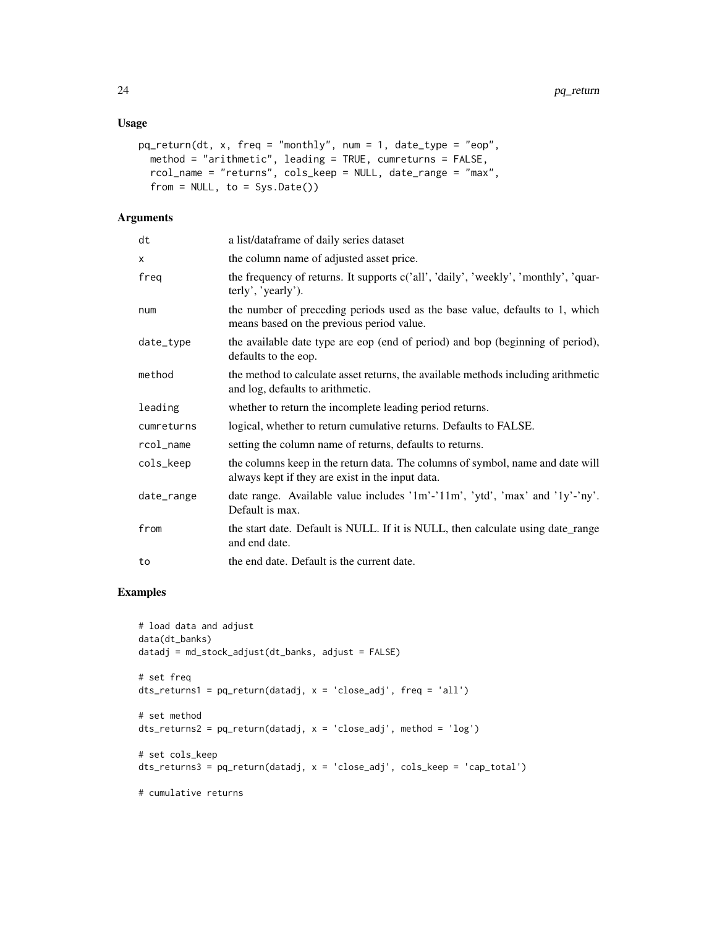# Usage

```
pq_return(dt, x, freq = "monthly", num = 1, date_type = "eop",method = "arithmetic", leading = TRUE, cumreturns = FALSE,
 rcol_name = "returns", cols_keep = NULL, date_range = "max",
  from = NULL, to = Sys.<b>Date()</b>)
```
# Arguments

| dt         | a list/dataframe of daily series dataset                                                                                           |
|------------|------------------------------------------------------------------------------------------------------------------------------------|
| X          | the column name of adjusted asset price.                                                                                           |
| freq       | the frequency of returns. It supports c('all', 'daily', 'weekly', 'monthly', 'quar-<br>terly', 'yearly').                          |
| num        | the number of preceding periods used as the base value, defaults to 1, which<br>means based on the previous period value.          |
| date_type  | the available date type are eop (end of period) and bop (beginning of period),<br>defaults to the eop.                             |
| method     | the method to calculate asset returns, the available methods including arithmetic<br>and log, defaults to arithmetic.              |
| leading    | whether to return the incomplete leading period returns.                                                                           |
| cumreturns | logical, whether to return cumulative returns. Defaults to FALSE.                                                                  |
| rcol_name  | setting the column name of returns, defaults to returns.                                                                           |
| cols_keep  | the columns keep in the return data. The columns of symbol, name and date will<br>always kept if they are exist in the input data. |
| date_range | date range. Available value includes '1m'-'11m', 'ytd', 'max' and '1y'-'ny'.<br>Default is max.                                    |
| from       | the start date. Default is NULL. If it is NULL, then calculate using date_range<br>and end date.                                   |
| to         | the end date. Default is the current date.                                                                                         |

# Examples

```
# load data and adjust
data(dt_banks)
datadj = md_stock_adjust(dt_banks, adjust = FALSE)# set freq
dts_returns1 = pq_return(datadj, x = 'close_adj', freq = 'all')
# set method
dts_returns2 = pq_return(datadj, x = 'close_adj', method = 'log')
# set cols_keep
dts_returns3 = pq_return(datadj, x = 'close_adj', cols_keep = 'cap_total')
# cumulative returns
```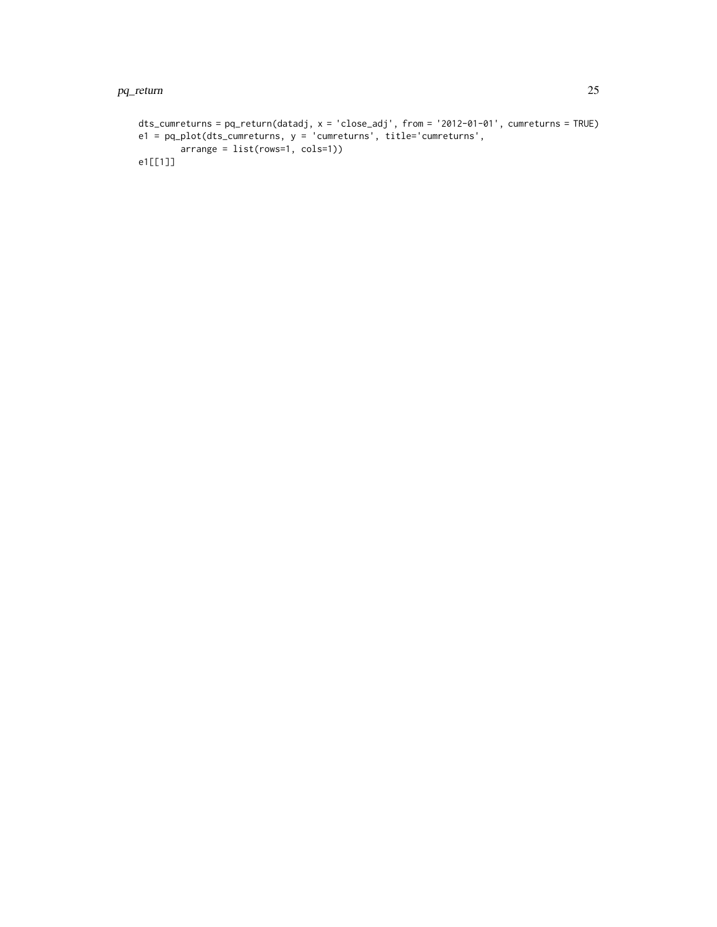#### pq\_return 25

```
dts_cumreturns = pq_return(datadj, x = 'close_adj', from = '2012-01-01', cumreturns = TRUE)
e1 = pq_plot(dts_cumreturns, y = 'cumreturns', title='cumreturns',
       arrange = list(rows=1, cols=1))
e1[[1]]
```